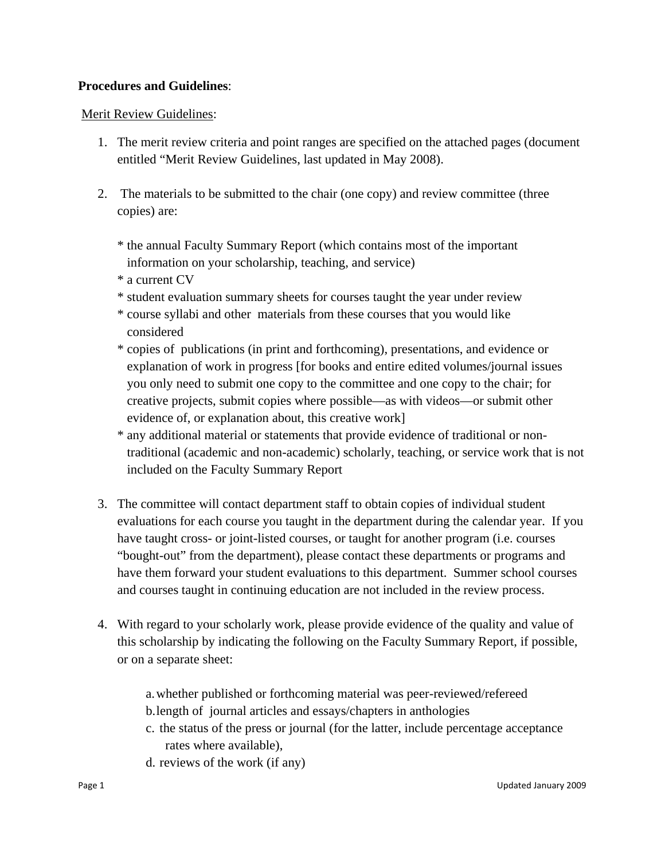## **Procedures and Guidelines**:

## Merit Review Guidelines:

- 1. The merit review criteria and point ranges are specified on the attached pages (document entitled "Merit Review Guidelines, last updated in May 2008).
- 2. The materials to be submitted to the chair (one copy) and review committee (three copies) are:
	- \* the annual Faculty Summary Report (which contains most of the important information on your scholarship, teaching, and service)
	- \* a current CV
	- \* student evaluation summary sheets for courses taught the year under review
	- \* course syllabi and other materials from these courses that you would like considered
	- \* copies of publications (in print and forthcoming), presentations, and evidence or explanation of work in progress [for books and entire edited volumes/journal issues you only need to submit one copy to the committee and one copy to the chair; for creative projects, submit copies where possible—as with videos—or submit other evidence of, or explanation about, this creative work]
	- \* any additional material or statements that provide evidence of traditional or non traditional (academic and non-academic) scholarly, teaching, or service work that is not included on the Faculty Summary Report
- 3. The committee will contact department staff to obtain copies of individual student evaluations for each course you taught in the department during the calendar year. If you have taught cross- or joint-listed courses, or taught for another program (i.e. courses "bought-out" from the department), please contact these departments or programs and have them forward your student evaluations to this department. Summer school courses and courses taught in continuing education are not included in the review process.
- 4. With regard to your scholarly work, please provide evidence of the quality and value of this scholarship by indicating the following on the Faculty Summary Report, if possible, or on a separate sheet:

a.whether published or forthcoming material was peer-reviewed/refereed b.length of journal articles and essays/chapters in anthologies

- c. the status of the press or journal (for the latter, include percentage acceptance rates where available),
- d. reviews of the work (if any)